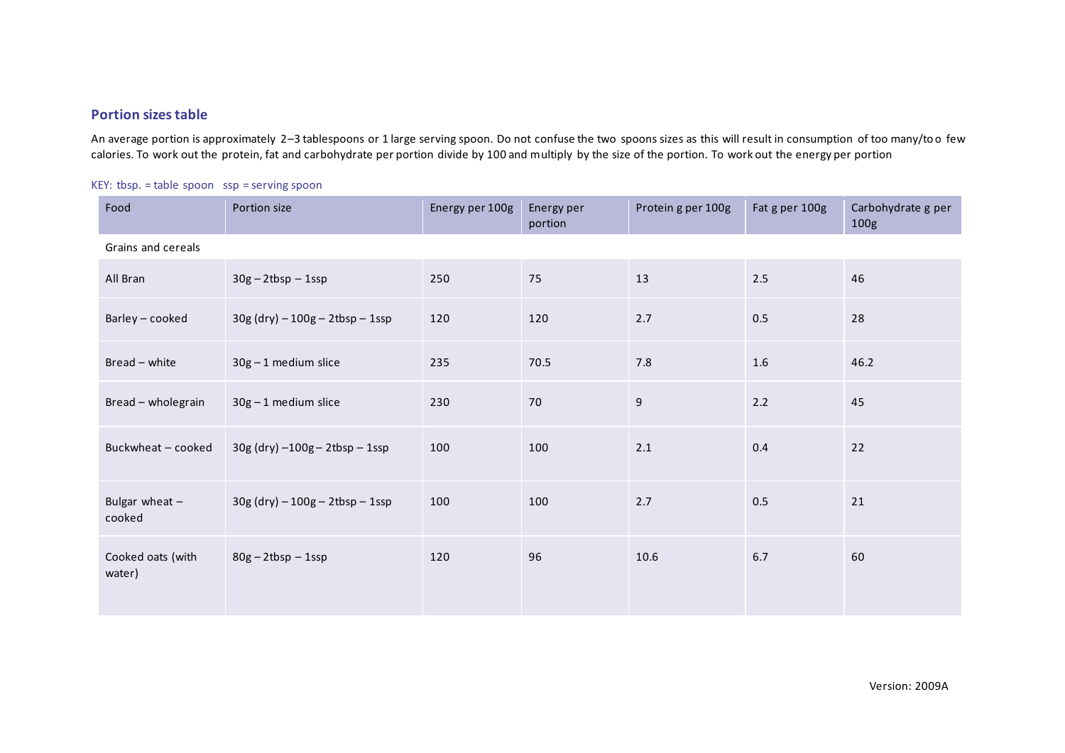## **Portion sizes table**

An average portion is approximately 2–3 tablespoons or 1 large serving spoon. Do not confuse the two spoons sizes as this will result in consumption of too many/too few calories. To work out the protein, fat and carbohydrate per portion divide by 100 and multiply by the size of the portion. To work out the energy per portion

| Food                        | Portion size                       | Energy per 100g | Energy per<br>portion | Protein g per 100g | Fat g per 100g | Carbohydrate g per<br>100g |
|-----------------------------|------------------------------------|-----------------|-----------------------|--------------------|----------------|----------------------------|
| Grains and cereals          |                                    |                 |                       |                    |                |                            |
| All Bran                    | $30g - 2tbsp - 1ssp$               | 250             | 75                    | 13                 | 2.5            | 46                         |
| Barley - cooked             | $30g$ (dry) $-100g - 2tbsp - 1ssp$ | 120             | 120                   | 2.7                | 0.5            | 28                         |
| Bread - white               | 30g-1 medium slice                 | 235             | 70.5                  | $7.8$              | $1.6\,$        | 46.2                       |
| Bread - wholegrain          | $30g - 1$ medium slice             | 230             | 70                    | 9                  | 2.2            | 45                         |
| Buckwheat - cooked          | $30g$ (dry) $-100g - 2tbsp - 1ssp$ | 100             | 100                   | $2.1$              | 0.4            | 22                         |
| Bulgar wheat $-$<br>cooked  | $30g$ (dry) $-100g - 2tbsp - 1ssp$ | 100             | 100                   | 2.7                | 0.5            | 21                         |
| Cooked oats (with<br>water) | $80g - 2tbsp - 1ssp$               | 120             | 96                    | 10.6               | 6.7            | 60                         |

KEY: tbsp. = table spoon ssp = serving spoon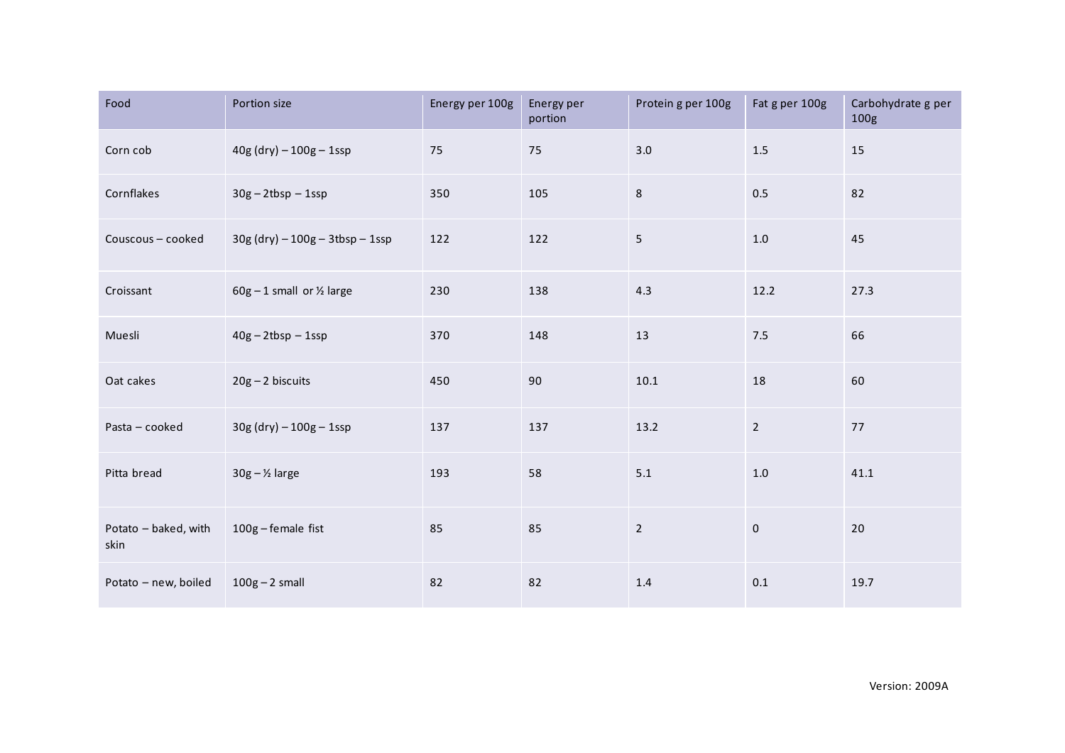| Food                         | Portion size                           | Energy per 100g | Energy per<br>portion | Protein g per 100g | Fat g per 100g | Carbohydrate g per<br>100 <sub>g</sub> |
|------------------------------|----------------------------------------|-----------------|-----------------------|--------------------|----------------|----------------------------------------|
| Corn cob                     | $40g$ (dry) $-100g - 1sg$              | 75              | 75                    | 3.0                | $1.5$          | 15                                     |
| Cornflakes                   | $30g - 2tbsp - 1ssp$                   | 350             | 105                   | 8                  | 0.5            | 82                                     |
| Couscous - cooked            | $30g$ (dry) $-100g - 3tbsp - 1ssp$     | 122             | 122                   | 5                  | $1.0\,$        | 45                                     |
| Croissant                    | $60g - 1$ small or $\frac{1}{2}$ large | 230             | 138                   | 4.3                | 12.2           | 27.3                                   |
| Muesli                       | $40g - 2tbsp - 1ssp$                   | 370             | 148                   | 13                 | 7.5            | 66                                     |
| Oat cakes                    | $20g - 2$ biscuits                     | 450             | 90                    | $10.1\,$           | 18             | 60                                     |
| Pasta - cooked               | $30g$ (dry) $-100g - 1$ ssp            | 137             | 137                   | 13.2               | $\overline{2}$ | 77                                     |
| Pitta bread                  | $30g - ½$ large                        | 193             | 58                    | 5.1                | $1.0\,$        | 41.1                                   |
| Potato - baked, with<br>skin | 100g - female fist                     | 85              | 85                    | $\overline{2}$     | $\pmb{0}$      | 20                                     |
| Potato - new, boiled         | $100g - 2$ small                       | 82              | 82                    | 1.4                | 0.1            | 19.7                                   |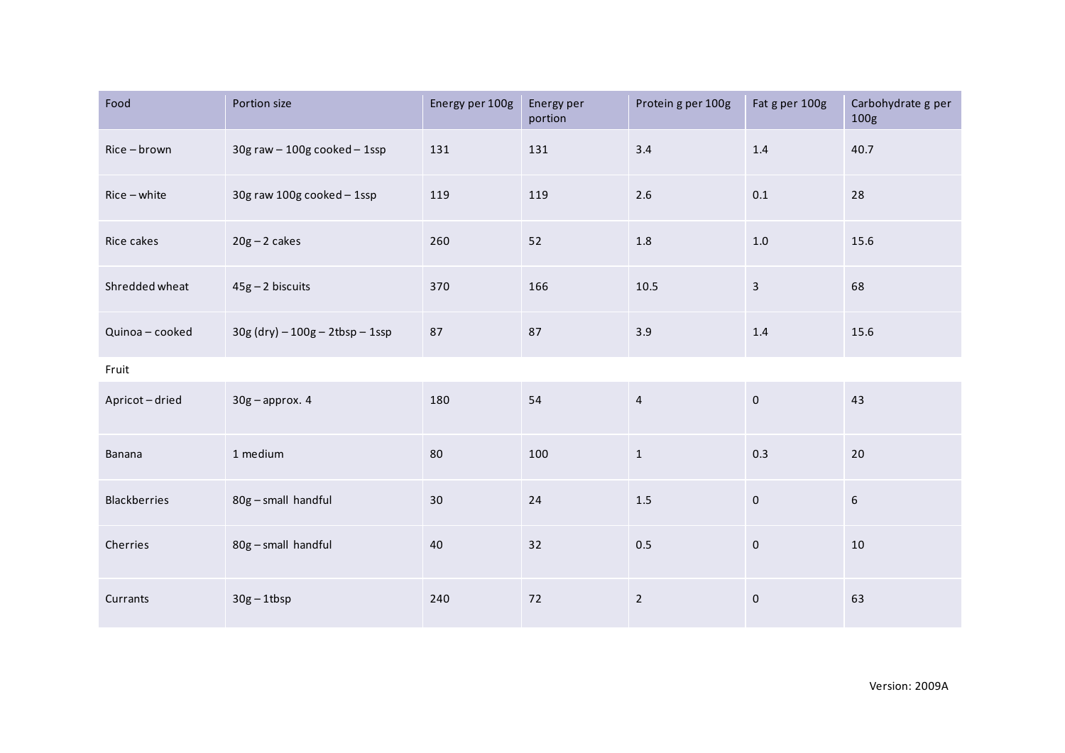| Food                | Portion size                      | Energy per 100g | Energy per<br>portion | Protein g per 100g | Fat g per 100g      | Carbohydrate g per<br>100g |
|---------------------|-----------------------------------|-----------------|-----------------------|--------------------|---------------------|----------------------------|
| Rice-brown          | $30g$ raw $-100g$ cooked $-1$ ssp | 131             | 131                   | 3.4                | $1.4\,$             | 40.7                       |
| $Rice - white$      | 30g raw 100g cooked - 1ssp        | 119             | 119                   | $2.6$              | $0.1\,$             | 28                         |
| Rice cakes          | $20g - 2$ cakes                   | 260             | 52                    | $1.8\,$            | $1.0\,$             | 15.6                       |
| Shredded wheat      | $45g - 2$ biscuits                | 370             | 166                   | 10.5               | $\mathbf{3}$        | 68                         |
| Quinoa - cooked     | $30g (dry) - 100g - 2tbsp - 1ssp$ | 87              | 87                    | 3.9                | 1.4                 | 15.6                       |
| Fruit               |                                   |                 |                       |                    |                     |                            |
| Apricot-dried       | $30g$ - approx. 4                 | 180             | 54                    | $\overline{4}$     | $\mathsf{O}\xspace$ | 43                         |
| Banana              | 1 medium                          | 80              | 100                   | $\mathbf{1}$       | 0.3                 | 20                         |
| <b>Blackberries</b> | 80g - small handful               | 30              | 24                    | $1.5\,$            | $\mathsf{O}\xspace$ | $\boldsymbol{6}$           |
| Cherries            | 80g - small handful               | 40              | 32                    | 0.5                | $\mathbf 0$         | 10                         |
| Currants            | $30g - 1tbsp$                     | 240             | 72                    | $\overline{2}$     | $\mathsf{O}\xspace$ | 63                         |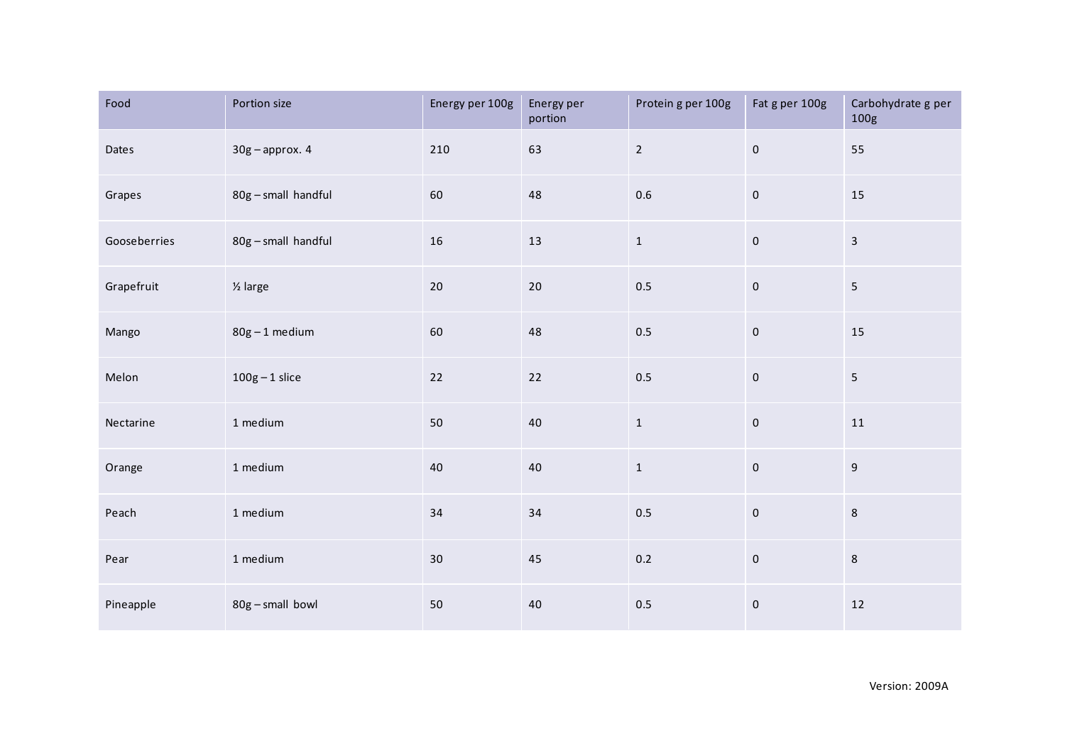| Food         | Portion size        | Energy per 100g | Energy per<br>portion | Protein g per 100g | Fat g per 100g      | Carbohydrate g per<br>100g |
|--------------|---------------------|-----------------|-----------------------|--------------------|---------------------|----------------------------|
| Dates        | $30g$ - approx. 4   | 210             | 63                    | $\overline{2}$     | $\pmb{0}$           | 55                         |
| Grapes       | 80g - small handful | 60              | 48                    | $0.6\,$            | $\mathsf{O}\xspace$ | 15                         |
| Gooseberries | 80g - small handful | 16              | $13\,$                | $\mathbf{1}$       | $\mathsf{O}\xspace$ | $\overline{3}$             |
| Grapefruit   | $\frac{1}{2}$ large | 20              | 20                    | 0.5                | $\mathbf 0$         | $5\overline{)}$            |
| Mango        | $80g - 1$ medium    | 60              | 48                    | 0.5                | $\mathsf{O}\xspace$ | 15                         |
| Melon        | $100g - 1$ slice    | 22              | $22$                  | 0.5                | $\mathbf 0$         | $\overline{\mathbf{5}}$    |
| Nectarine    | 1 medium            | 50              | 40                    | $\mathbf 1$        | $\mathbf 0$         | $11\,$                     |
| Orange       | 1 medium            | 40              | 40                    | $\mathbf 1$        | $\mathsf{O}\xspace$ | $\boldsymbol{9}$           |
| Peach        | 1 medium            | 34              | $34\,$                | 0.5                | $\mathsf{O}\xspace$ | $\,8\,$                    |
| Pear         | 1 medium            | 30              | 45                    | 0.2                | $\pmb{0}$           | $\,8\,$                    |
| Pineapple    | 80g - small bowl    | 50              | 40                    | 0.5                | $\pmb{0}$           | 12                         |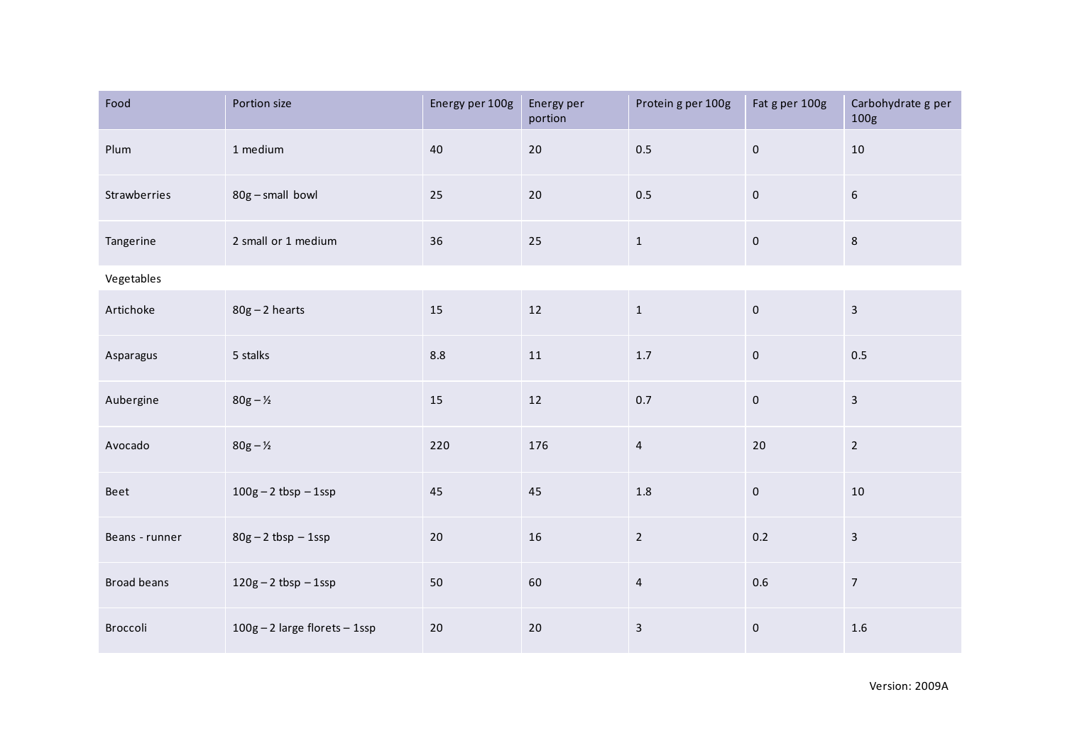| Food               | Portion size                  | Energy per 100g | Energy per<br>portion | Protein g per 100g      | Fat g per 100g | Carbohydrate g per<br>100g |  |  |
|--------------------|-------------------------------|-----------------|-----------------------|-------------------------|----------------|----------------------------|--|--|
| Plum               | 1 medium                      | 40              | $20\,$                | 0.5                     | $\mathbf 0$    | $10\,$                     |  |  |
| Strawberries       | 80g - small bowl              | 25              | $20\,$                | 0.5                     | $\pmb{0}$      | $\sqrt{6}$                 |  |  |
| Tangerine          | 2 small or 1 medium           | 36              | 25                    | $\mathbf{1}$            | $\pmb{0}$      | $\,8\,$                    |  |  |
| Vegetables         |                               |                 |                       |                         |                |                            |  |  |
| Artichoke          | $80g - 2$ hearts              | 15              | 12                    | $\mathbf{1}$            | $\pmb{0}$      | $\overline{\mathbf{3}}$    |  |  |
| Asparagus          | 5 stalks                      | $8.8\,$         | 11                    | $1.7\,$                 | $\pmb{0}$      | 0.5                        |  |  |
| Aubergine          | $80g - Y_2$                   | 15              | 12                    | 0.7                     | $\mathbf 0$    | $\overline{3}$             |  |  |
| Avocado            | $80g - \frac{1}{2}$           | 220             | 176                   | $\overline{4}$          | 20             | $\overline{2}$             |  |  |
| Beet               | $100g - 2 tbsp - 1ssp$        | 45              | 45                    | $1.8\,$                 | $\pmb{0}$      | $10\,$                     |  |  |
| Beans - runner     | $80g - 2 tbsp - 1ssp$         | 20              | 16                    | $\overline{2}$          | 0.2            | $\mathbf{3}$               |  |  |
| <b>Broad beans</b> | $120g - 2 tbsp - 1ssp$        | 50              | 60                    | $\overline{4}$          | $0.6\,$        | $\overline{7}$             |  |  |
| Broccoli           | 100g - 2 large florets - 1ssp | 20              | $20\,$                | $\overline{\mathbf{3}}$ | $\pmb{0}$      | 1.6                        |  |  |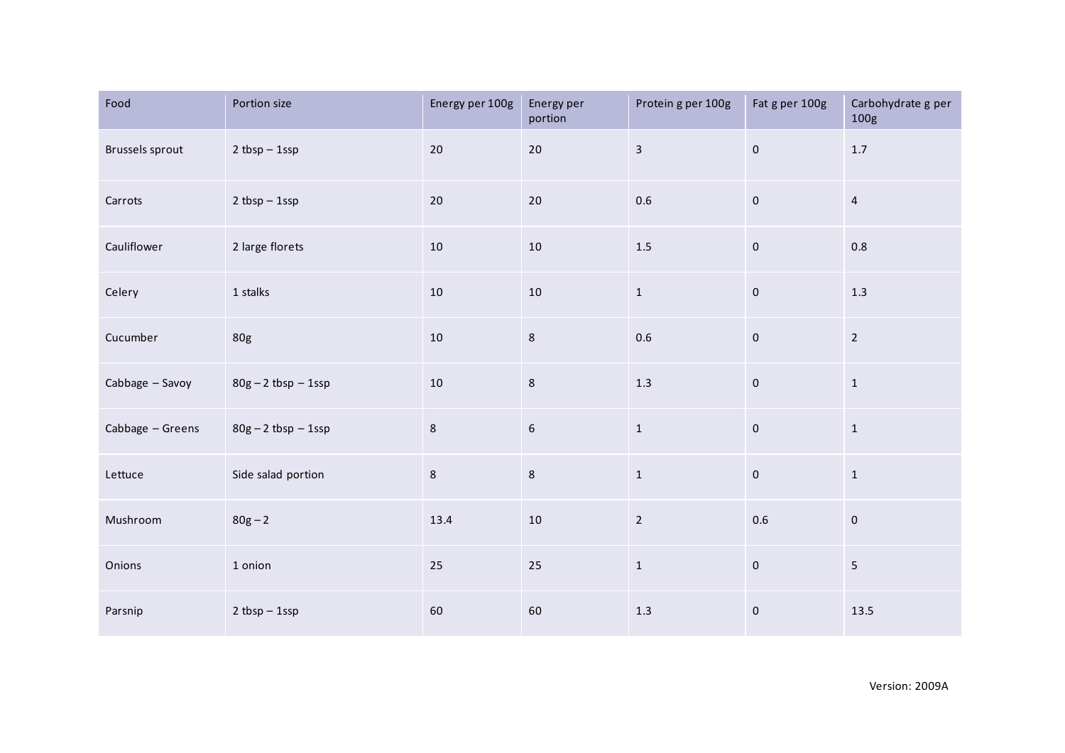| Food             | Portion size          | Energy per 100g | Energy per<br>portion | Protein g per 100g | Fat g per 100g      | Carbohydrate g per<br>100g |
|------------------|-----------------------|-----------------|-----------------------|--------------------|---------------------|----------------------------|
| Brussels sprout  | $2 tbsp - 1ssp$       | $20\,$          | $20\,$                | $\overline{3}$     | $\mathsf{O}\xspace$ | $1.7\,$                    |
| Carrots          | $2 tbsp - 1ssp$       | 20              | 20                    | $0.6\,$            | $\mathsf{O}\xspace$ | $\overline{4}$             |
| Cauliflower      | 2 large florets       | 10              | $10\,$                | $1.5\,$            | $\mathsf{O}\xspace$ | $0.8\,$                    |
| Celery           | 1 stalks              | 10              | $10\,$                | $\mathbf{1}$       | $\mathsf{O}\xspace$ | 1.3                        |
| Cucumber         | 80g                   | 10              | $\,8\,$               | $0.6\,$            | $\mathsf{O}\xspace$ | $\overline{2}$             |
| Cabbage - Savoy  | $80g - 2 tbsp - 1ssp$ | $10\,$          | $\,$ 8 $\,$           | $1.3\,$            | $\mathsf{O}\xspace$ | $\mathbf{1}$               |
| Cabbage - Greens | $80g - 2 tbsp - 1ssp$ | 8               | $\boldsymbol{6}$      | $\mathbf{1}$       | $\mathsf{O}\xspace$ | $\mathbf 1$                |
| Lettuce          | Side salad portion    | 8               | $\,8\,$               | $\mathbf{1}$       | $\mathsf{O}\xspace$ | $\mathbf 1$                |
| Mushroom         | $80g - 2$             | 13.4            | $10\,$                | $\overline{2}$     | $0.6\,$             | $\mathbf 0$                |
| Onions           | 1 onion               | 25              | 25                    | $\mathbf{1}$       | $\mathsf{O}\xspace$ | 5                          |
| Parsnip          | $2 tbsp - 1ssp$       | 60              | 60                    | $1.3\,$            | $\pmb{0}$           | 13.5                       |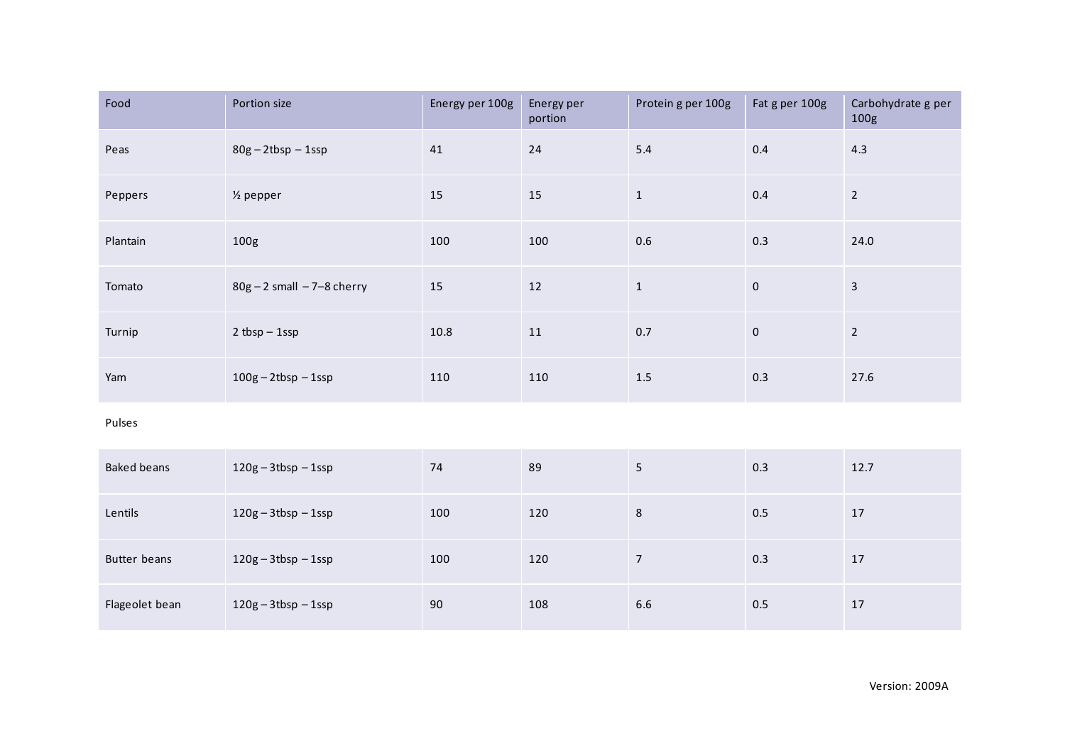| Food     | Portion size                    | Energy per 100g | Energy per<br>portion | Protein g per 100g | Fat g per 100g | Carbohydrate g per<br>100 <sub>g</sub> |
|----------|---------------------------------|-----------------|-----------------------|--------------------|----------------|----------------------------------------|
| Peas     | $80g - 2tbsp - 1ssp$            | 41              | 24                    | 5.4                | 0.4            | 4.3                                    |
| Peppers  | $\frac{1}{2}$ pepper            | 15              | 15                    | $\mathbf{1}$       | 0.4            | $\overline{2}$                         |
| Plantain | 100 <sub>g</sub>                | 100             | 100                   | 0.6                | 0.3            | 24.0                                   |
| Tomato   | $80g - 2$ small $-7 - 8$ cherry | 15              | 12                    | $\mathbf{1}$       | $\mathbf{0}$   | $\overline{3}$                         |
| Turnip   | $2 tbsp - 1ssp$                 | 10.8            | 11                    | 0.7                | $\mathbf 0$    | $\overline{2}$                         |
| Yam      | $100g - 2tbsp - 1ssp$           | 110             | 110                   | 1.5                | 0.3            | 27.6                                   |

## Pulses

| <b>Baked beans</b> | $120g - 3tbsp - 1ssp$ | 74  | 89  | 5   | 0.3 | 12.7 |
|--------------------|-----------------------|-----|-----|-----|-----|------|
| Lentils            | $120g - 3tbsp - 1ssp$ | 100 | 120 | 8   | 0.5 | 17   |
| Butter beans       | $120g - 3tbsp - 1ssp$ | 100 | 120 | 7   | 0.3 | 17   |
| Flageolet bean     | $120g - 3tbsp - 1ssp$ | 90  | 108 | 6.6 | 0.5 | 17   |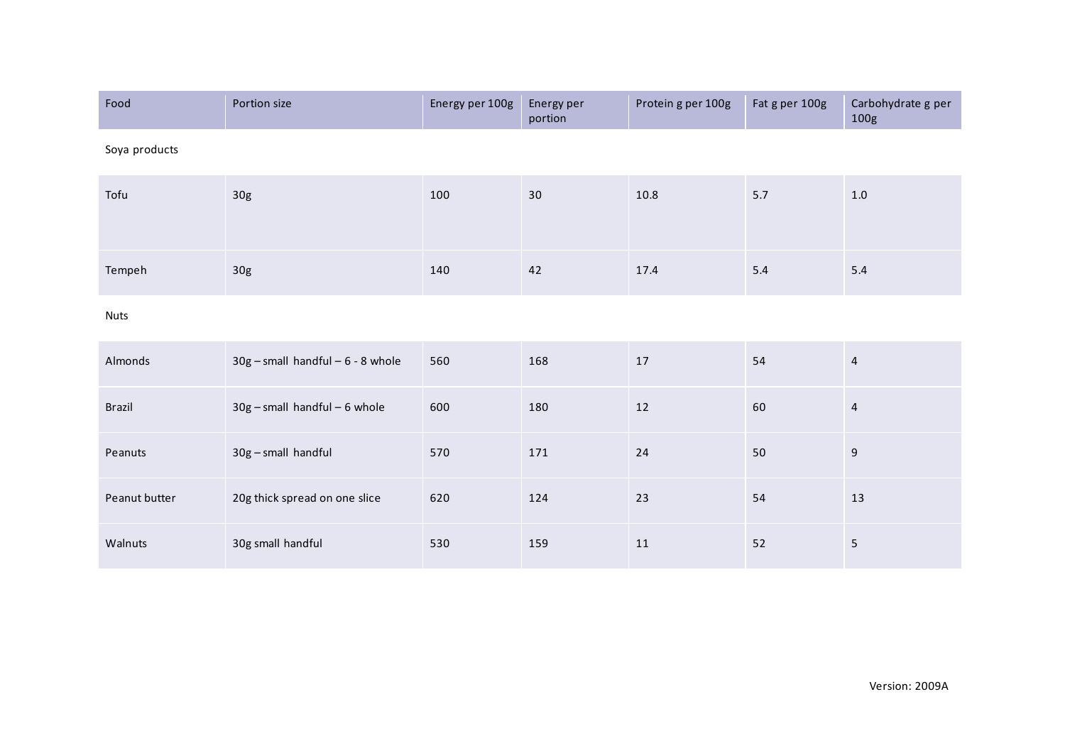| Food          | Portion size                          | Energy per 100g | Energy per<br>portion | Protein g per 100g | Fat g per 100g | Carbohydrate g per<br>100g |
|---------------|---------------------------------------|-----------------|-----------------------|--------------------|----------------|----------------------------|
| Soya products |                                       |                 |                       |                    |                |                            |
| Tofu          | 30g                                   | 100             | 30                    | 10.8               | 5.7            | $1.0\,$                    |
| Tempeh        | 30g                                   | 140             | 42                    | 17.4               | $5.4\,$        | $5.4\,$                    |
| <b>Nuts</b>   |                                       |                 |                       |                    |                |                            |
| Almonds       | $30g$ - small handful - $6 - 8$ whole | 560             | 168                   | 17                 | 54             | $\sqrt{4}$                 |
| <b>Brazil</b> | $30g$ - small handful - 6 whole       | 600             | 180                   | 12                 | 60             | $\overline{4}$             |
| Peanuts       | 30g - small handful                   | 570             | 171                   | 24                 | 50             | 9                          |
| Peanut butter | 20g thick spread on one slice         | 620             | 124                   | 23                 | 54             | 13                         |
| Walnuts       | 30g small handful                     | 530             | 159                   | 11                 | 52             | 5                          |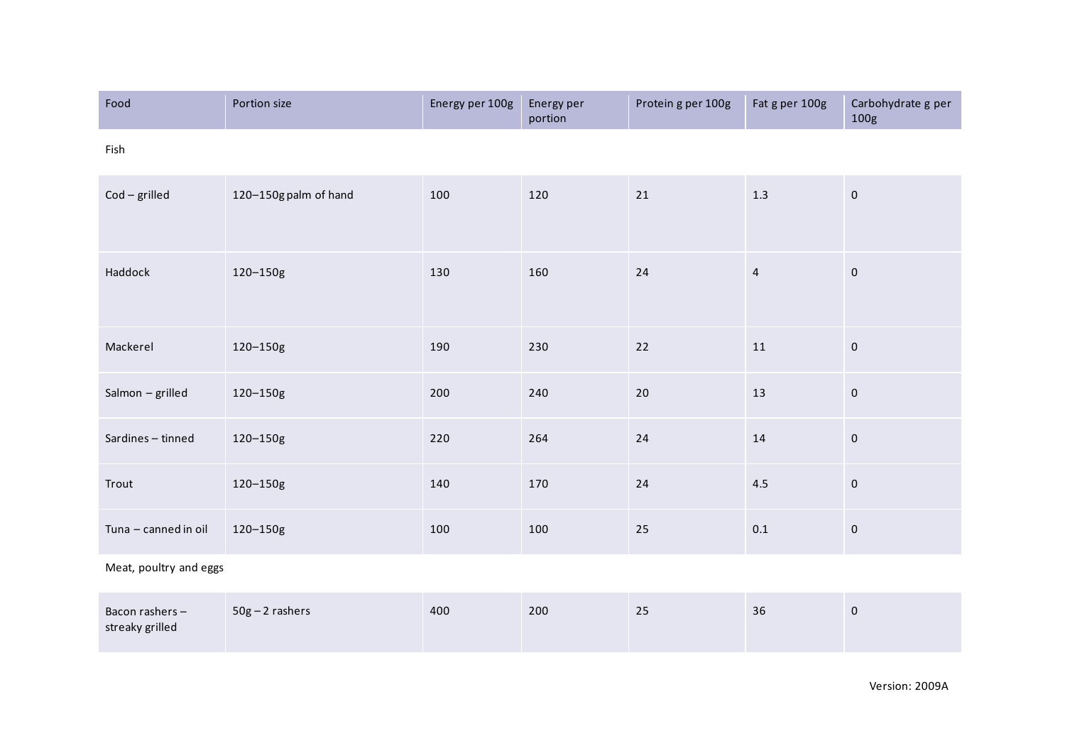| Food                   | Portion size          | Energy per 100g | Energy per<br>portion | Protein g per 100g | Fat g per 100g | Carbohydrate g per<br>100g |
|------------------------|-----------------------|-----------------|-----------------------|--------------------|----------------|----------------------------|
| Fish                   |                       |                 |                       |                    |                |                            |
| $Cod - grilled$        | 120-150g palm of hand | 100             | 120                   | 21                 | $1.3\,$        | $\mathsf{O}\xspace$        |
| Haddock                | 120-150g              | 130             | 160                   | 24                 | $\overline{4}$ | $\mathbf 0$                |
| Mackerel               | 120-150g              | 190             | 230                   | 22                 | $11\,$         | $\mathbf 0$                |
| Salmon - grilled       | 120-150g              | 200             | 240                   | 20                 | 13             | $\pmb{0}$                  |
| Sardines - tinned      | 120-150g              | 220             | 264                   | 24                 | $14\,$         | $\mathbf 0$                |
| Trout                  | 120-150g              | 140             | 170                   | 24                 | 4.5            | $\mathbf 0$                |
| Tuna - canned in oil   | 120-150g              | 100             | 100                   | 25                 | $0.1\,$        | $\mathbf 0$                |
| Meat, poultry and eggs |                       |                 |                       |                    |                |                            |

| Bacon rashers -<br>streaky grilled | $50g - 2$ rashers | 400 | 200 | 25 | 36 |  |
|------------------------------------|-------------------|-----|-----|----|----|--|
|------------------------------------|-------------------|-----|-----|----|----|--|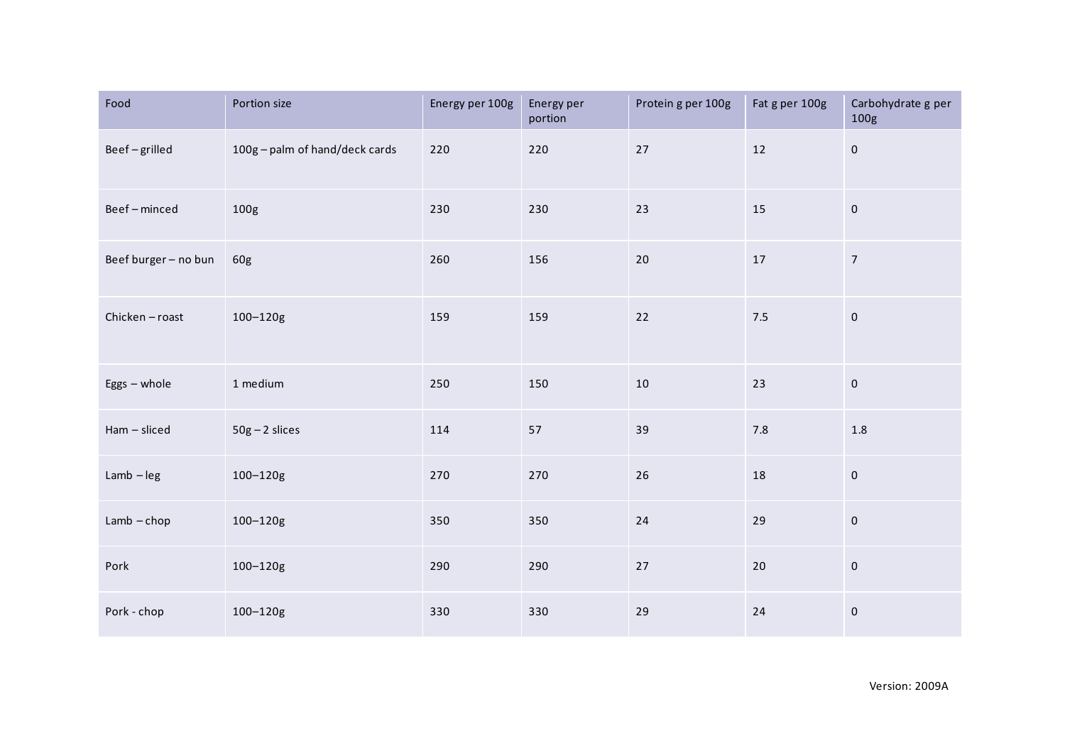| Food                 | Portion size                   | Energy per 100g | Energy per<br>portion | Protein g per 100g | Fat g per 100g | Carbohydrate g per<br>100g |
|----------------------|--------------------------------|-----------------|-----------------------|--------------------|----------------|----------------------------|
| Beef-grilled         | 100g - palm of hand/deck cards | 220             | 220                   | $27\,$             | 12             | $\pmb{0}$                  |
| Beef-minced          | 100g                           | 230             | 230                   | 23                 | 15             | $\mathsf{O}\xspace$        |
| Beef burger - no bun | 60g                            | 260             | 156                   | 20                 | 17             | $\overline{7}$             |
| Chicken-roast        | $100 - 120g$                   | 159             | 159                   | 22                 | 7.5            | $\mathsf{O}\xspace$        |
| Eggs - whole         | 1 medium                       | 250             | 150                   | 10                 | 23             | $\mathsf{O}\xspace$        |
| Ham - sliced         | $50g - 2$ slices               | 114             | 57                    | 39                 | $7.8\,$        | 1.8                        |
| $Lamb - leg$         | 100-120g                       | 270             | 270                   | 26                 | 18             | $\mathsf{O}\xspace$        |
| $Lamb - chop$        | 100-120g                       | 350             | 350                   | 24                 | 29             | $\mathsf{O}\xspace$        |
| Pork                 | 100-120g                       | 290             | 290                   | 27                 | 20             | $\mathsf{O}\xspace$        |
| Pork - chop          | 100-120g                       | 330             | 330                   | 29                 | 24             | $\pmb{0}$                  |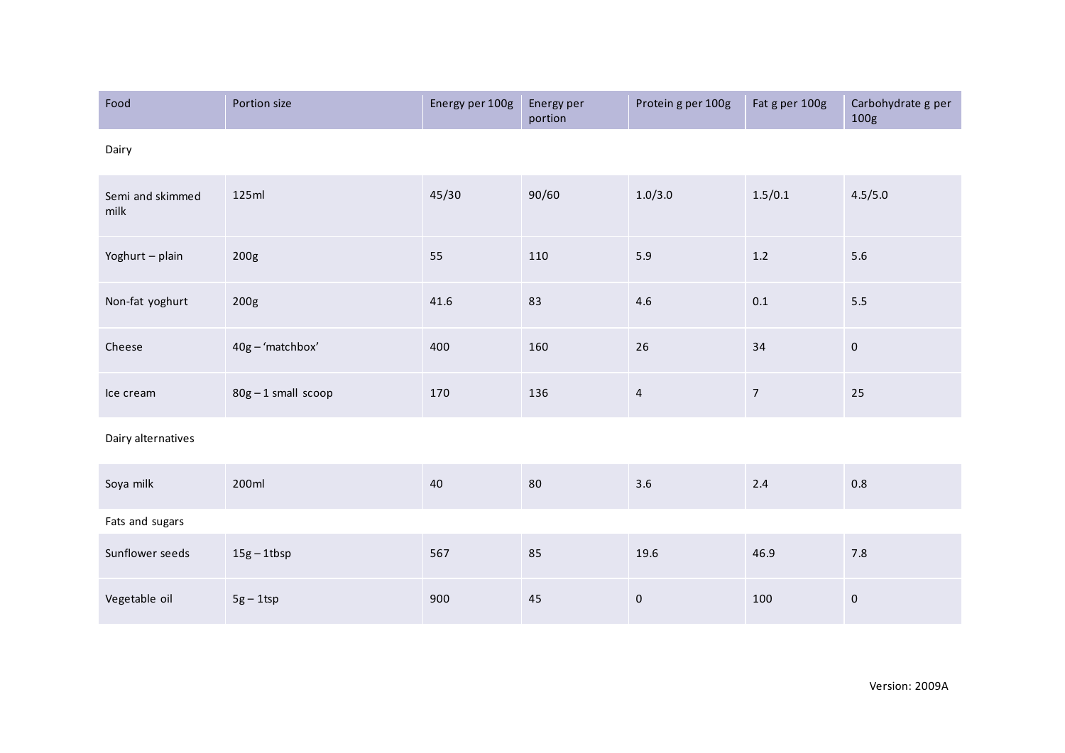| Food                     | Portion size      | Energy per 100g | Energy per<br>portion | Protein g per 100g | Fat g per 100g   | Carbohydrate g per<br>100g |  |  |  |  |
|--------------------------|-------------------|-----------------|-----------------------|--------------------|------------------|----------------------------|--|--|--|--|
| Dairy                    |                   |                 |                       |                    |                  |                            |  |  |  |  |
| Semi and skimmed<br>milk | 125ml             | 45/30           | 90/60                 | 1.0/3.0            | 1.5/0.1          | 4.5/5.0                    |  |  |  |  |
| Yoghurt - plain          | 200g              | 55              | 110                   | $5.9$              | $1.2\,$          | 5.6                        |  |  |  |  |
| Non-fat yoghurt          | 200g              | 41.6            | 83                    | $4.6\,$            | $0.1\,$          | 5.5                        |  |  |  |  |
| Cheese                   | 40g - 'matchbox'  | 400             | 160                   | 26                 | 34               | $\mathbf 0$                |  |  |  |  |
| Ice cream                | 80g-1 small scoop | 170             | 136                   | $\overline{4}$     | $\boldsymbol{7}$ | 25                         |  |  |  |  |
| Dairy alternatives       |                   |                 |                       |                    |                  |                            |  |  |  |  |
| Soya milk                | 200ml             | 40              | 80                    | 3.6                | 2.4              | $0.8\,$                    |  |  |  |  |
| Fats and sugars          |                   |                 |                       |                    |                  |                            |  |  |  |  |
| Sunflower seeds          | $15g - 1t$ bsp    | 567             | 85                    | 19.6               | 46.9             | 7.8                        |  |  |  |  |
| Vegetable oil            | $5g - 1$ tsp      | 900             | 45                    | $\pmb{0}$          | 100              | $\pmb{0}$                  |  |  |  |  |